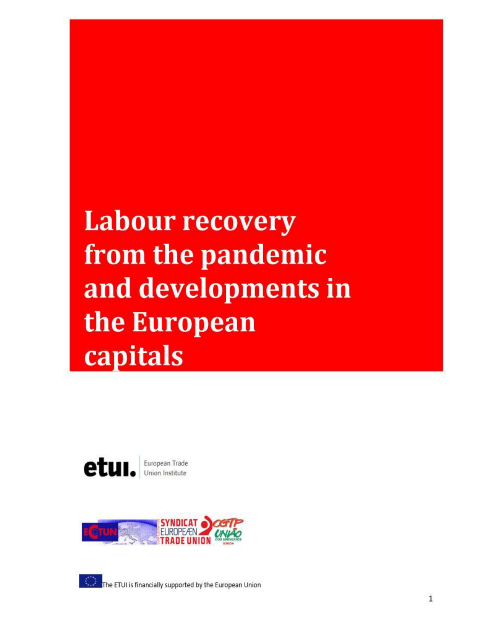## **Labour recovery** from the pandemic and developments in the European capitals





The ETUI is financially supported by the European Union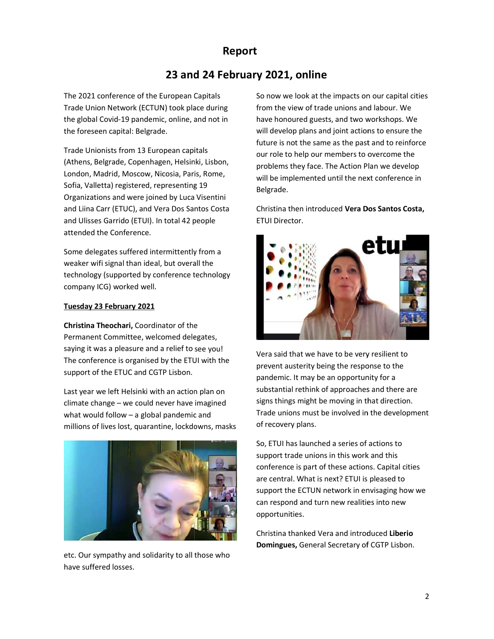### Report

# 23 and 24 February 2021, online 23 and 24 February 2021, online

The 2021 conference of the European Capitals So now Trade Union Network (ECTUN) took place during Trade Union Network (ECTUN) took place during the global Covid-19 pandemic, online, and not in have hon the foreseen capital: Belgrade.

Trade Unionists from 13 European capitals (Athens, Belgrade, Copenhagen, Helsinki, Lisbon, (Athens, Belgrade, Copenhagen, Helsinki, Lisbon, London, Madrid, Moscow, Nicosia, Paris, Rome, Tarill bo in Sofia, Valletta) registered, representing 19 Organizations and were joined by Luca Visentini and Liina Carr (ETUC), and Vera Dos Santos Costa and Liina Carr (ETUC), and Vera Dos Santos Costa and Ulisses Garrido (ETUI). In total 42 people FTUI I attended the Conference.

Some delegates suffered intermittently from a **reduced by the set of the set of the set of the set of the set of the set of the set of the set of the set of the set of the set of the set of the set of the set of the set of** weaker wifi signal than ideal, but overall the weaker wifi signal than ideal, but overall the technology (supported by conference technology **the state of the state of the state of the state of the state of the state of the state of the state of the state of the state of the state of the state of the state of the s** company ICG) worked well.

#### Tuesday 23 February 2021

**Christina Theochari,** Coordinator of the **Cooking Cooking** Permanent Committee, welcomed delegates, Permanent Committee, welcomed delegates, saying it was a pleasure and a relief to see you! The conference is organised by the ETUI with the onference is organised by the ETUI with the support of the ETUC and CGTP Lisbon.

Last year we left Helsinki with an action plan on Last year we left Helsinki with an action plan on climate change – we could never have imagined signs thir what would follow – a global pandemic and **Find** millions of lives lost, quarantine, lockdowns, masks millions of lives lost, quarantine, lockdowns, masks



etc. Our sympathy and solidarity to all those who have suffered losses.

So now we look at the impacts on our capital cities So now we look at the impacts on our capital cities from the view of trade unions and labour. We from the view of trade unions and labour. We have honoured guests, and two workshops. We will develop plans and joint actions to ensure the will develop plans and joint actions to ensure the future is not the same as the past and to reinforce future is not the same as the past and to reinforce our role to help our members to overcome the our role to help our members to overcome the problems they face. The Action Plan we develop problems they face. The Action Plan we develop will be implemented until the next will be implemented until the next conference in Belgrade.

Christina then introduced Vera Dos Santos Costa, ETUI Director.



Vera said that we have to be very resilient to Vera said that we have to be very resilient to prevent austerity being the response to the prevent austerity being the response to the pandemic. It may be an opportunity for a pandemic. It may be an opportunity for a substantial rethink of approaches substantial rethink of approaches and there are signs things might be moving in that direction. signs things might be moving in that direction. Trade unions must be involved in the development Trade unions must be involved in the development of recovery plans.

So, ETUI has launched a series of actions to ETUI has launched a series of actions to support trade unions in this work and this support trade unions in this work and this conference is part of these actions. conference is part of these actions. Capital cities are central. What is next? ETUI is pleased to are central. What is next? ETUI is pleased to support the ECTUN network in envisaging how we support the ECTUN network in envisaging how we can respond and turn new realities into new can respond and turn new realities into new opportunities.

Christina thanked Vera and introduced Christina thanked Vera and introduced Liberio Domingues, General Secretary of CGTP Lisbon.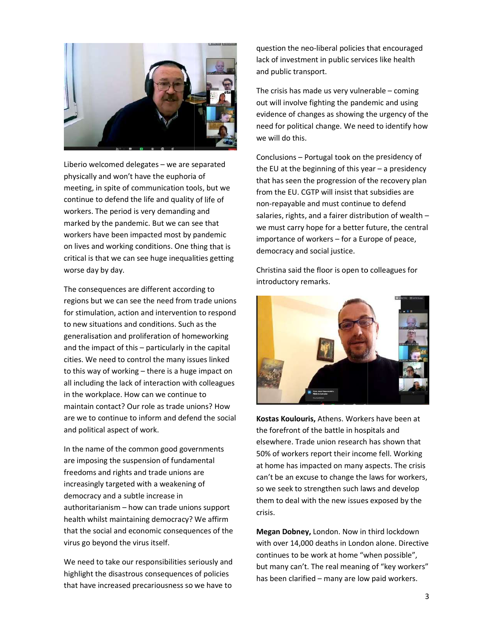

Liberio welcomed delegates – we are separated  $\mathbf{H}$ physically and won't have the euphoria of physically and won't have the euphoria of meeting, in spite of communication tools, but we stram the stram that continue to defend the life and quality of life of continue to defend the life and quality of life of workers. The period is very demanding and workers. The period is very demanding and marked by the pandemic. But we can see that  $\mathbf{w}_0$   $\mathbf{w}_1$ workers have been impacted most by pandemic **substanants** important on lives and working conditions. One thing that is a subsected critical is that we can see huge inequalities getting critical is that we can see huge inequalities getting worse day by day.

The consequences are different according to The consequences are different according to regions but we can see the need from trade unions  $\begin{array}{c|c} \hline \end{array}$ for stimulation, action and intervention to respond for stimulation, action and intervention to respond to new situations and conditions. Such as the to new situations and conditions. Such as the generalisation and proliferation of homeworking generalisation and proliferation of homeworking and the impact of this – particularly in the capital  $\begin{array}{|c|c|}\n\hline\n\end{array}$ cities. We need to control the many issues linked  $\begin{array}{c} \hline \end{array}$ to this way of working – there is a huge impact on  $\left\| \cdot \right\|$ all including the lack of interaction with colleagues **and the startup of the lack** in the workplace. How can we continue to **informulation** maintain contact? Our role as trade unions? How maintain contact? Our role as trade unions? How are we to continue to inform and defend the social **Kostas Kou** and political aspect of work.

In the name of the common good governments are imposing the suspension of fundamental are imposing the suspension of fundamental freedoms and rights and trade unions are freedoms and rights and trade unions are increasingly targeted with a weakening of increasingly targeted with a weakening of democracy and a subtle increase in authoritarianism – how can trade unions support health whilst maintaining democracy? We affirm health whilst maintaining democracy? We affirm that the social and economic consequences of the **Megan Dol** virus go beyond the virus itself.

We need to take our responsibilities seriously and what many highlight the disastrous consequences highlight the disastrous consequences of policies that have increased precariousness so we have to that have increased precariousness so we have to

question the neo-liberal policies that encouraged lack of investment in public services like health lack of investment in public services like health and public transport.

The crisis has made us very vulnerable The crisis has made us very vulnerable – coming out will involve fighting the pandemic and using evidence of changes as showing the urgency of the evidence of changes as showing the urgency of the need for political change. We need to identify how need for political change. We need to identify how we will do this.

Conclusions – Portugal took on the presidency of Portugal took on the presidency of the EU at the beginning of this year – a presidency that has seen the progression of the recovery plan the progression of the recovery plan from the EU. CGTP will insist that subsidies are from the EU. CGTP will insist that subsidies are non-repayable and must continue to defend salaries, rights, and a fairer distribution of wealth salaries, rights, and a fairer distribution of wealth –<br>we must carry hope for a better future, the central importance of workers – for a Europe of peace, democracy and social justice.

Christina said the floor is open to colleagues for Christina said the floor is open to colleagues for introductory remarks.



Kostas Koulouris, Athens. Workers have been at the forefront of the battle in hospitals and the forefront of the battle in hospitals and elsewhere. Trade union research has shown that 50% of workers report their income fell. Working 50% of workers report their income fell. Working at home has impacted on many aspects. The crisis at home has impacted on many aspects. The crisis can't be an excuse to change the laws for workers can't be an excuse to change the laws for workers,<br>so we seek to strengthen such laws and develop them to deal with the new issues exposed by them to deal with the new issues exposed by the crisis.

Megan Dobney, London. Now in third lockdown with over 14,000 deaths in London alone. Directive with over 14,000 deaths in London alone. Directive continues to be work at home "when possible", but many can't. The real meaning of "key workers" but many can't. The real meaning of "key workers" has been clarified - many are low paid workers.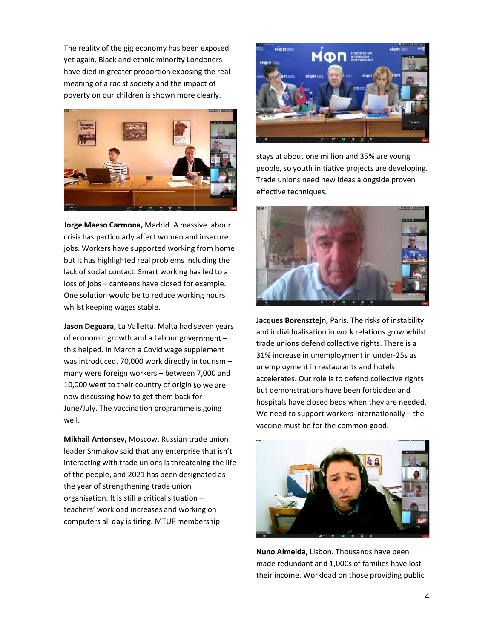The reality of the gig economy has been exposed The reality of the gig economy has been exposed yet again. Black and ethnic minority Londoners have died in greater proportion exposing the real **the state of the state of the state** meaning of a racist society and the impact of **and the impact of** the solution of the solution poverty on our children is shown more clearly. poverty on our children is shown more clearly.



Jorge Maeso Carmona, Madrid. A massive labour **Allen Carlos Carmona**, Madrid. A massive labour crisis has particularly affect women and insecure **the secure of the secure of the secure** jobs. Workers have supported working from home **the support of the setting of the support of the setting of the s** but it has highlighted real problems including the **the state of the state of the state** lack of social contact. Smart working has led to a **lack of social contact.** Smart working has led to a  $\log$  loss of jobs – canteens have closed for example. One solution would be to reduce working hours One solution would be to reduce working hours whilst keeping wages stable.

Jason Deguara, La Valletta. Malta had seven years **Land and seven to the set of the set of the set of the set of the set of the set of the set of the set of the set of the set of the set of the set of the set of the set of** of economic growth and a Labour government – this helped. In March a Covid wage supplement 2196 and the control was introduced. 70,000 work directly in tourism  $$ many were foreign workers – between 7,000 and 10,000 went to their country of origin so we are 10,000 went to their country of origin so we are now discussing how to get them back for **now** discussing how to get them back for June/July. The vaccination programme is going June/July. The vaccination programme is going well.

Mikhail Antonsev, Moscow. Russian trade union leader Shmakov said that any enterprise that isn't leader Shmakov said that any enterprise that isn't interacting with trade unions is threatening the life of the people, and 2021 has been designated as of the people, and 2021 has been designated as the year of strengthening trade union organisation. It is still a critical situation organisation. It is still a critical situation – teachers' workload increases and working on **WAN** computers all day is tiring. MTUF membership computers all day is tiring. MTUF membership



stays at about one million and 35% are young stays at about one million and 35% are young people, so youth initiative projects are developing. people, so youth initiative projects are developing. Trade unions need new ideas alongside proven Trade unions need new ideas alongside proven effective techniques.



Jacques Borensztejn, Paris. The risks of instability and individualisation in work relations grow whilst and individualisation in work relations grow whilst trade unions defend collective rights. There is a trade unions defend collective rights. There is a 31% increase in unemployment in under-25s as unemployment in restaurants and hotels unemployment in restaurants and hotels accelerates. Our role is to defend collective rights but demonstrations have been forbidden and but demonstrations have been forbidden and hospitals have closed beds when they are needed. hospitals have closed beds when they are needed. We need to support workers internationally We need to support workers internationally – the vaccine must be for the common good. vaccine must be for the common good.



Nuno Almeida, Lisbon. Thousands have been made redundant and 1,000s of families have lost their income. Workload on those providing public their income. Workload on those providing public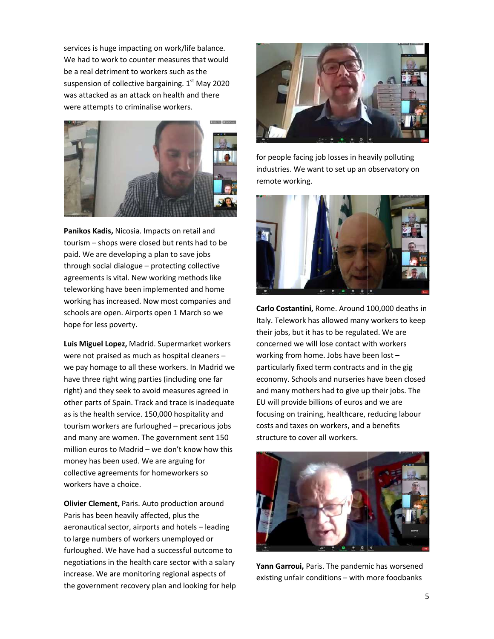services is huge impacting on work/life balance. services is huge impacting on work/life balance. We had to work to counter measures that would We had to work to counter measures that would be a real detriment to workers such as the be a real detriment to workers such as the suspension of collective bargaining.  $1<sup>st</sup>$  May 2020 was attacked as an attack on health and there **the contract of the set of the set of the set of the set of the s** were attempts to criminalise workers.



Panikos Kadis, Nicosia. Impacts on retail and **Institute Control** tourism – shops were closed but rents had to be **the state of the state of the state of the state of the state of the state of the state of the state of the state of the state of the state of the state of the state of the** paid. We are developing a plan to save jobs paid. We are developing a plan to save jobs through social dialogue – protecting collective **production** agreements is vital. New working methods like agreements is vital. New working methods like teleworking have been implemented and home teleworking have been implemented and home working has increased. Now most companies and working has increased. Now most companies and schools are open. Airports open 1 March so we schools are open. Airports open 1 March so we hope for less poverty.

Luis Miguel Lopez, Madrid. Supermarket workers concerned were not praised as much as hospital cleaners – workin we pay homage to all these workers. In Madrid we we pay homage to all these workers. In Madrid we have three right wing parties (including one far have three right wing parties (including one far right) and they seek to avoid measures agreed in right) and they seek to avoid measures agreed in other parts of Spain. Track and trace is inadequate FU will prov as is the health service. 150,000 hospitality and as is the health service. 150,000 hospitality and tourism workers are furloughed – precarious jobs costs and t and many are women. The government sent 150 and many are women. The government sent 150 million euros to Madrid – we don't know how this  $\mathbb{R}^n$ money has been used. We are arguing for **the contract of the set of the state of the state of the state of the sta** collective agreements for homeworkers so collective agreements for homeworkers so workers have a choice.

**Olivier Clement, Paris. Auto production around The Clement, Paris.** Paris has been heavily affected, plus the Paris has been heavily affected, plus the aeronautical sector, airports and hotels aeronautical sector, airports and hotels – leading to large numbers of workers unemployed o to large numbers of workers unemployed or furloughed. We have had a successful outcome to furloughed. We have had a successful outcome to negotiations in the health care sector with a salary vann Garro increase. We are monitoring regional aspects of increase. We are monitoring regional aspects of the government recovery plan and looking for help the government recovery plan and looking for help



for people facing job losses in heavily polluting for people facing job losses in heavily polluting industries. We want to set up an observatory on remote working.



Carlo Costantini, Rome. Around 100,000 deaths in Italy. Telework has allowed many workers to keep Italy. Telework has allowed many workers to keep their jobs, but it has to be regulated. We are their jobs, but it has to be regulated. We are concerned we will lose contact with workers concerned we will lose contact with workers working from home. Jobs have been lost working from home. Jobs have been lost –<br>particularly fixed term contracts and in the gig economy. Schools and nurseries have been closed economy. Schools and nurseries have been closed and many mothers had to give up their jobs. The and many mothers had to give up their jobs. The EU will provide billions of euros and we are EU will provide billions of euros and we are focusing on training, healthcare, reducing labour costs and taxes on workers, and a benefits costs and taxes on workers, and a benefits structure to cover all workers.



Yann Garroui, Paris. The pandemic has worsened existing unfair conditions - with more foodbanks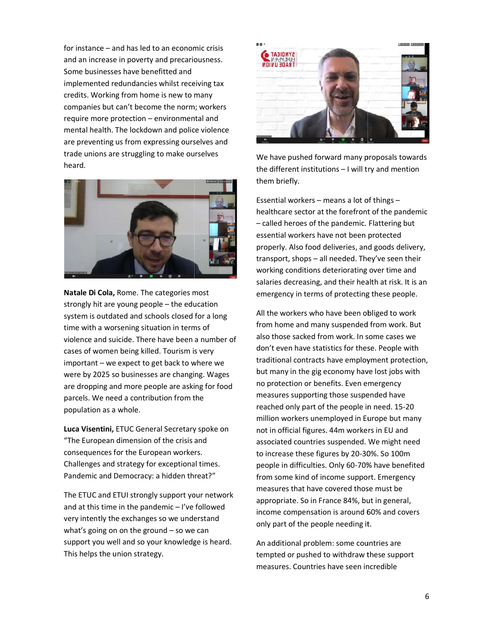for instance – and has led to an economic crisis  $\overline{\phantom{a}}$ and an increase in poverty and precariousness. Some businesses have benefitted and implemented redundancies whilst receiving tax implemented redundancies whilst receiving tax credits. Working from home is new to many credits. Working from home is new to many companies but can't become the norm; workers companies but can't become the norm; workers require more protection – environmental and mental health. The lockdown and police violence **and the set of the set of the set of the set of the set of the s** are preventing us from expressing ourselves and are preventing us from expressing ourselves and trade unions are struggling to make ourselves trade unions are struggling to make ourselves heard.



Natale Di Cola, Rome. The categories most emergines strongly hit are young people – the education system is outdated and schools closed for a long him all the W time with a worsening situation in terms of **the same of the system** tron violence and suicide. There have been a number of violence and suicide. There have been a number of cases of women being killed. Tourism is very cases of women being killed. Tourism is very important – we expect to get back to where we stradition were by 2025 so businesses are changing. Wages 2025 so businesses are changing. Wages are dropping and more people are asking for food health of protection parcels. We need a contribution from the more than  $m_0$ population as a whole.

Luca Visentini, ETUC General Secretary spoke on https not in official figi "The European dimension of the crisis and "The European dimension of the crisis and consequences for the European workers. consequences for the European workers. Challenges and strategy for exceptional times. The people Pandemic and Democracy: a hidden threat?" Pandemic and Democracy: a hidden threat?"

The ETUC and ETUI strongly support your network The ETUC and ETUI strongly support your network and at this time in the pandemic – I've followed very intently the exchanges so we understand very intently the exchanges so we understand what's going on on the ground  $-$  so we can<br> support you well and so your knowledge is heard. support you well and so your knowledge is heard. This helps the union strategy.



We have pushed forward many proposals towards We have pushed forward many proposals towards the different institutions – I will try and mention them briefly.

Essential workers – means a lot of things Essential workers – means a lot of things –<br>healthcare sector at the forefront of the pandemic – called heroes of the pandemic. Flattering but called heroes of the pandemic. Flattering but essential workers have not been protected essential workers have not been protected properly. Also food deliveries, and goods delivery, properly. Also food deliveries, and goods delivery, transport, shops – all needed. They've seen their working conditions deteriorating over time and salaries decreasing, and their health at risk. It is an salaries decreasing, and their health at risk. It is an emergency in terms of protecting these people. emergency in terms of protecting these people.

All the workers who have been obliged to work All the workers who have been obliged to work from home and many suspended from work. But also those sacked from work. In some cases also those sacked from work. In some cases we don't even have statistics for these. People with don't even have statistics for these. People with traditional contracts have employment protection, traditional contracts have employment protection, but many in the gig economy have lost jobs with but many in the gig economy have lost jobs with no protection or benefits. Even emergency no protection or benefits. Even emergency measures supporting those suspended have measures supporting those suspended have reached only part of the people in need. 15-20 million workers unemployed in Europe but many million workers unemployed in Europe but many not in official figures. 44m workers in EU and not in official figures. 44m workers in EU and associated countries suspended. We might need associated countries suspended. We might need to increase these figures by 20-30%. So 100m people in difficulties. Only 60-70% have benefited from some kind of income support. Emergency from some kind of income support. Emergency measures that have covered those must be measures that have covered those must be appropriate. So in France 84%, but in general, appropriate. So in France 84%, but in general, income compensation is around 60% and covers income compensation is around 60% and covers only part of the people needing it.

An additional problem: some countries An additional problem: some countries are tempted or pushed to withdraw these support tempted or pushed to withdraw these support measures. Countries have seen incredible measures. Countries have seen incredible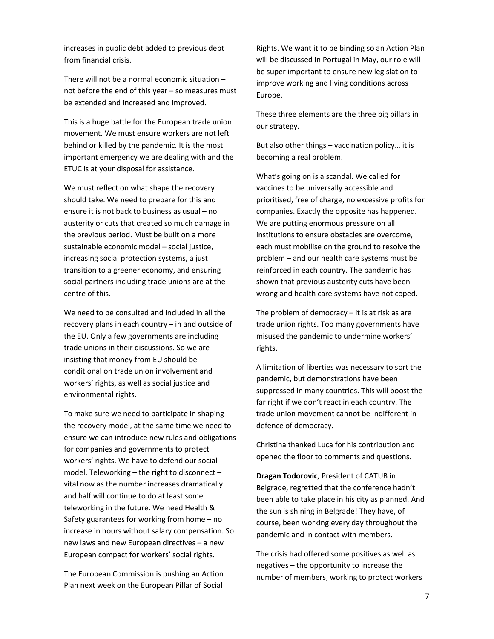increases in public debt added to previous debt from financial crisis.

There will not be a normal economic situation – not before the end of this year – so measures must be extended and increased and improved.

This is a huge battle for the European trade union movement. We must ensure workers are not left behind or killed by the pandemic. It is the most important emergency we are dealing with and the ETUC is at your disposal for assistance.

We must reflect on what shape the recovery should take. We need to prepare for this and ensure it is not back to business as usual – no austerity or cuts that created so much damage in the previous period. Must be built on a more sustainable economic model – social justice, increasing social protection systems, a just transition to a greener economy, and ensuring social partners including trade unions are at the centre of this.

We need to be consulted and included in all the recovery plans in each country – in and outside of the EU. Only a few governments are including trade unions in their discussions. So we are insisting that money from EU should be conditional on trade union involvement and workers' rights, as well as social justice and environmental rights.

To make sure we need to participate in shaping the recovery model, at the same time we need to ensure we can introduce new rules and obligations for companies and governments to protect workers' rights. We have to defend our social model. Teleworking – the right to disconnect – vital now as the number increases dramatically and half will continue to do at least some teleworking in the future. We need Health & Safety guarantees for working from home – no increase in hours without salary compensation. So new laws and new European directives – a new European compact for workers' social rights.

The European Commission is pushing an Action Plan next week on the European Pillar of Social

Rights. We want it to be binding so an Action Plan will be discussed in Portugal in May, our role will be super important to ensure new legislation to improve working and living conditions across Europe.

These three elements are the three big pillars in our strategy.

But also other things – vaccination policy… it is becoming a real problem.

What's going on is a scandal. We called for vaccines to be universally accessible and prioritised, free of charge, no excessive profits for companies. Exactly the opposite has happened. We are putting enormous pressure on all institutions to ensure obstacles are overcome, each must mobilise on the ground to resolve the problem – and our health care systems must be reinforced in each country. The pandemic has shown that previous austerity cuts have been wrong and health care systems have not coped.

The problem of democracy  $-$  it is at risk as are trade union rights. Too many governments have misused the pandemic to undermine workers' rights.

A limitation of liberties was necessary to sort the pandemic, but demonstrations have been suppressed in many countries. This will boost the far right if we don't react in each country. The trade union movement cannot be indifferent in defence of democracy.

Christina thanked Luca for his contribution and opened the floor to comments and questions.

Dragan Todorovic, President of CATUB in Belgrade, regretted that the conference hadn't been able to take place in his city as planned. And the sun is shining in Belgrade! They have, of course, been working every day throughout the pandemic and in contact with members.

The crisis had offered some positives as well as negatives – the opportunity to increase the number of members, working to protect workers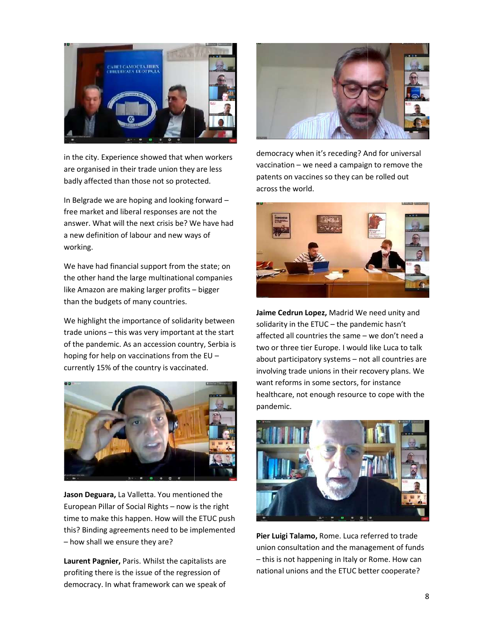

in the city. Experience showed that when workers in the city. Experience showed that when workers are organised in their trade union they are less are organised in their trade union they are less badly affected than those not so protected. The setting

In Belgrade we are hoping and looking forward In Belgrade we are hoping and looking forward – free market and liberal responses are not the free market and liberal responses are not the answer. What will the next crisis be? We have had answer. What will the next crisis be? We have had a new definition of labour and new ways of **and the state of the state of the state of the state of the state o** working.

We have had financial support from the state; on the other hand the large multinational companies **the companies** like Amazon are making larger profits – bigger **bigger** than the budgets of many countries.

We highlight the importance of solidarity between endidarity in trade unions – this was very important at the start and affected all of the pandemic. As an accession country, Serbia is two or three hoping for help on vaccinations from the EU – ahout currently 15% of the country is vaccinated. currently 15% of the country is vaccinated.



Jason Deguara, La Valletta. You mentioned the **Tomas Contract Contract Contract Contract** European Pillar of Social Rights – now is the right  $\Box$ time to make this happen. How will the ETUC push time to make this happen. How will the ETUC push this? Binding agreements need to be implemented  $\ldots$ – how shall we ensure they are?

**Laurent Pagnier,** Paris. Whilst the capitalists are  $\overline{\phantom{a}}$  - this is r profiting there is the issue of the regression of **the inditional** democracy. In what framework can we speak of democracy. In what framework can we speak of



democracy when it's receding? And for universal democracy when it's receding? And for universal vaccination – we need a campaign to remove the patents on vaccines so they can be rolled out patents on vaccines so they can be rolled out across the world.



Jaime Cedrun Lopez, Madrid We need unity and solidarity in the ETUC – the pandemic hasn't affected all countries the same – we don't need a two or three tier Europe. I would like Luca to talk two or three tier Europe. I would like Luca to talk about participatory systems – not all countries are involving trade unions in their recovery plans. We want reforms in some sectors, for instance want reforms in some sectors, for instance healthcare, not enough resource to cope with the healthcare, not enough resource to cope with the pandemic.



Pier Luigi Talamo, Rome. Luca referred to trade union consultation and the management of funds union consultation and the management of funds – this is not happening in Italy or Rome. How can national unions and the ETUC better cooperate? national unions and the ETUC better cooperate?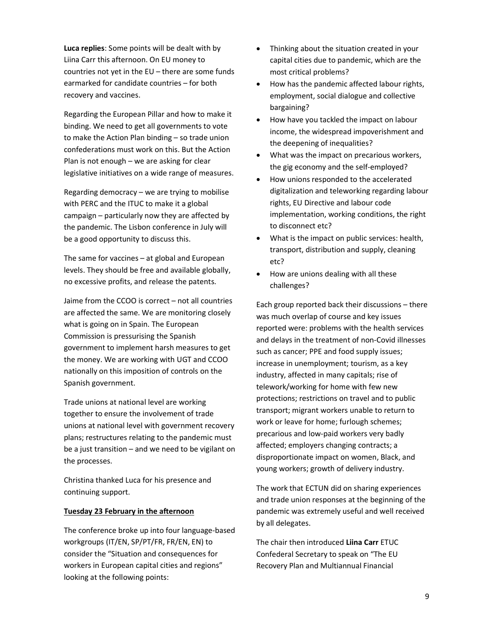Luca replies: Some points will be dealt with by Liina Carr this afternoon. On EU money to countries not yet in the  $EU$  – there are some funds earmarked for candidate countries – for both recovery and vaccines.

Regarding the European Pillar and how to make it binding. We need to get all governments to vote to make the Action Plan binding – so trade union confederations must work on this. But the Action Plan is not enough – we are asking for clear legislative initiatives on a wide range of measures.

Regarding democracy – we are trying to mobilise with PERC and the ITUC to make it a global campaign – particularly now they are affected by the pandemic. The Lisbon conference in July will be a good opportunity to discuss this.

The same for vaccines – at global and European levels. They should be free and available globally, no excessive profits, and release the patents.

Jaime from the CCOO is correct – not all countries are affected the same. We are monitoring closely what is going on in Spain. The European Commission is pressurising the Spanish government to implement harsh measures to get the money. We are working with UGT and CCOO nationally on this imposition of controls on the Spanish government.

Trade unions at national level are working together to ensure the involvement of trade unions at national level with government recovery plans; restructures relating to the pandemic must be a just transition – and we need to be vigilant on the processes.

Christina thanked Luca for his presence and continuing support.

#### Tuesday 23 February in the afternoon

The conference broke up into four language-based workgroups (IT/EN, SP/PT/FR, FR/EN, EN) to consider the "Situation and consequences for workers in European capital cities and regions" looking at the following points:

- Thinking about the situation created in your capital cities due to pandemic, which are the most critical problems?
- How has the pandemic affected labour rights, employment, social dialogue and collective bargaining?
- How have you tackled the impact on labour income, the widespread impoverishment and the deepening of inequalities?
- What was the impact on precarious workers, the gig economy and the self-employed?
- How unions responded to the accelerated digitalization and teleworking regarding labour rights, EU Directive and labour code implementation, working conditions, the right to disconnect etc?
- What is the impact on public services: health, transport, distribution and supply, cleaning etc?
- How are unions dealing with all these challenges?

Each group reported back their discussions – there was much overlap of course and key issues reported were: problems with the health services and delays in the treatment of non-Covid illnesses such as cancer; PPE and food supply issues; increase in unemployment; tourism, as a key industry, affected in many capitals; rise of telework/working for home with few new protections; restrictions on travel and to public transport; migrant workers unable to return to work or leave for home; furlough schemes; precarious and low-paid workers very badly affected; employers changing contracts; a disproportionate impact on women, Black, and young workers; growth of delivery industry.

The work that ECTUN did on sharing experiences and trade union responses at the beginning of the pandemic was extremely useful and well received by all delegates.

The chair then introduced Liina Carr ETUC Confederal Secretary to speak on "The EU Recovery Plan and Multiannual Financial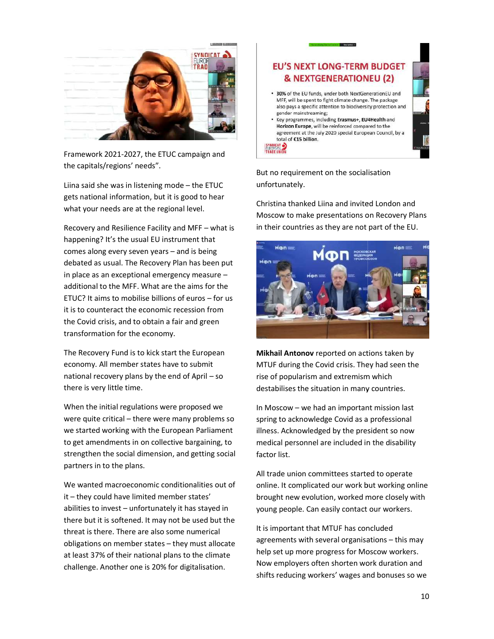

Framework 2021-2027, the ETUC campaign and **FRADE UNION** the capitals/regions' needs".

Liina said she was in listening mode – the ETUC the ETUC gets national information, but it is good to hear gets national information, but it is good to hear what your needs are at the regional level. what your needs are at the regional level.

Recovery and Resilience Facility and MFF Recovery and Resilience Facility and MFF – what is happening? It's the usual EU instrument that comes along every seven years  $-$  and is being  $\Box$ debated as usual. The Recovery Plan has been put debated as usual. The Recovery Plan has been put in place as an exceptional emergency measure – additional to the MFF. What are the aims for the  $\frac{1}{100}$ ETUC? It aims to mobilise billions of euros ETUC? It aims to mobilise billions of euros – for us it is to counteract the economic recession from it is to counteract the economic recession from the Covid crisis, and to obtain a fair and green the Covid crisis, and to obtain a fair and green transformation for the economy.

The Recovery Fund is to kick start the European Mikhail Antonov reported economy. All member states have to submit economy. All member states have to submit national recovery plans by the end of April – so endotional recovery plans by the there is very little time.

When the initial regulations were proposed we When the initial regulations were proposed we were quite critical – there were many problems so spring to ad we started working with the European Parliament to get amendments in on collective bargaining, to medical pe strengthen the social dimension, and getting social strengthen the social dimension, and getting social partners in to the plans.

We wanted macroeconomic conditionalities out of We wanted macroeconomic conditionalities out of it – they could have limited member states' brought new ev abilities to invest – unfortunately it has stayed in stational perthere but it is softened. It may not be used but the there but it is softened. It may not be used but the threat is there. There are also some numerical threat is there. There are also some numerical obligations on member states – they must allocate https://www.dgreements at least 37% of their national plans to the climate **Example 2** Delp set up challenge. Another one is 20% for digitalisation. 20% for digitalisation.



But no requirement on the socialisation But no requirement on the socialisation unfortunately.

Christina thanked Liina and invited London and Christina thanked Liina and invited London and Moscow to make presentations on Recovery Plans Moscow to make presentations on Recovery Plans in their countries as they are not part of the EU. in their countries as they are not part of the EU.



Mikhail Antonov reported on actions taken by MTUF during the Covid crisis. They had seen the MTUF during the Covid crisis. They had seen the rise of popularism and extremism which rise of popularism and extremism which destabilises the situation in many countries. destabilises the situation in many countries.

In Moscow – we had an important mission last spring to acknowledge Covid as a professional spring to acknowledge Covid as a professional illness. Acknowledged by the president so now medical personnel are included in medical personnel are included in the disability factor list.

All trade union committees started to operate All trade union committees started to operate online. It complicated our work but working online brought new evolution, worked more closely with brought new evolution, worked more closely with young people. Can easily contact our workers. people. Can easily contact our workers.

It is important that MTUF has concluded It is important that MTUF has concluded agreements with several organisations agreements with several organisations – this may help set up more progress for Moscow workers. help set up more progress for Moscow workers. Now employers often shorten work duration and Now employers often shorten work duration and shifts reducing workers' wages and bonuses so we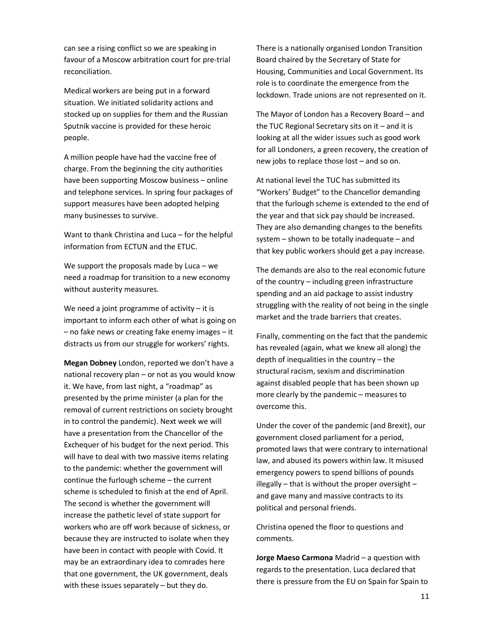can see a rising conflict so we are speaking in favour of a Moscow arbitration court for pre-trial reconciliation.

Medical workers are being put in a forward situation. We initiated solidarity actions and stocked up on supplies for them and the Russian Sputnik vaccine is provided for these heroic people.

A million people have had the vaccine free of charge. From the beginning the city authorities have been supporting Moscow business – online and telephone services. In spring four packages of support measures have been adopted helping many businesses to survive.

Want to thank Christina and Luca – for the helpful information from ECTUN and the ETUC.

We support the proposals made by Luca  $-$  we need a roadmap for transition to a new economy without austerity measures.

We need a joint programme of activity  $-$  it is important to inform each other of what is going on – no fake news or creating fake enemy images – it distracts us from our struggle for workers' rights.

Megan Dobney London, reported we don't have a national recovery plan – or not as you would know it. We have, from last night, a "roadmap" as presented by the prime minister (a plan for the removal of current restrictions on society brought in to control the pandemic). Next week we will have a presentation from the Chancellor of the Exchequer of his budget for the next period. This will have to deal with two massive items relating to the pandemic: whether the government will continue the furlough scheme – the current scheme is scheduled to finish at the end of April. The second is whether the government will increase the pathetic level of state support for workers who are off work because of sickness, or because they are instructed to isolate when they have been in contact with people with Covid. It may be an extraordinary idea to comrades here that one government, the UK government, deals with these issues separately – but they do.

There is a nationally organised London Transition Board chaired by the Secretary of State for Housing, Communities and Local Government. Its role is to coordinate the emergence from the lockdown. Trade unions are not represented on it.

The Mayor of London has a Recovery Board – and the TUC Regional Secretary sits on it  $-$  and it is looking at all the wider issues such as good work for all Londoners, a green recovery, the creation of new jobs to replace those lost – and so on.

At national level the TUC has submitted its "Workers' Budget" to the Chancellor demanding that the furlough scheme is extended to the end of the year and that sick pay should be increased. They are also demanding changes to the benefits system – shown to be totally inadequate – and that key public workers should get a pay increase.

The demands are also to the real economic future of the country – including green infrastructure spending and an aid package to assist industry struggling with the reality of not being in the single market and the trade barriers that creates.

Finally, commenting on the fact that the pandemic has revealed (again, what we knew all along) the depth of inequalities in the country – the structural racism, sexism and discrimination against disabled people that has been shown up more clearly by the pandemic – measures to overcome this.

Under the cover of the pandemic (and Brexit), our government closed parliament for a period, promoted laws that were contrary to international law, and abused its powers within law. It misused emergency powers to spend billions of pounds illegally  $-$  that is without the proper oversight  $$ and gave many and massive contracts to its political and personal friends.

Christina opened the floor to questions and comments.

Jorge Maeso Carmona Madrid – a question with regards to the presentation. Luca declared that there is pressure from the EU on Spain for Spain to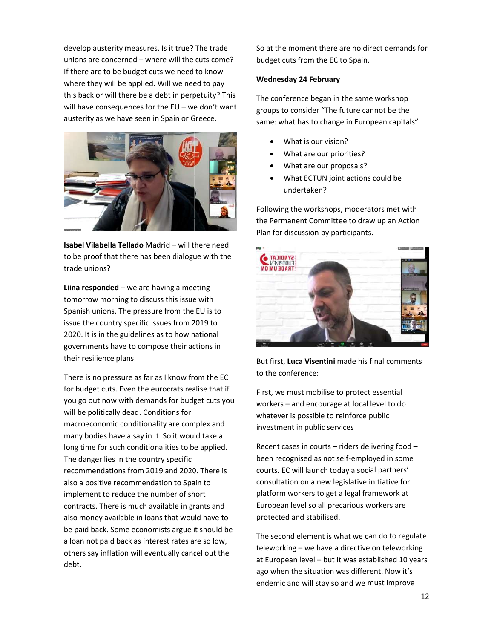develop austerity measures. Is it true? The trade develop austerity measures. Is it true? The trade unions are concerned – where will the cuts come? budget cut If there are to be budget cuts we need to know If there are to be budget cuts we need to know where they will be applied. Will we need to pay we we we we this back or will there be a debt in perpetuity? This The conference began i will have consequences for the EU – we don't want  $\frac{1}{2}$  arouns to compute austerity as we have seen in Spain or Greece.



**Isabel Vilabella Tellado** Madrid – will there need to be proof that there has been dialogue with the **the set of the set of the set of the set** trade unions?

Liina responded – we are having a meeting tomorrow morning to discuss this issue with tomorrow morning to discuss this issue with Spanish unions. The pressure from the EU is to Spanish unions. The pressure from the EU is to issue the country specific issues from 2019 to issue the country specific issues from 2019 to 2020. It is in the guidelines as to how national 2020. It is in the guidelines as to how national governments have to compose their actions i governments have to compose their actions in their resilience plans.

There is no pressure as far as I know from the EC There is no pressure as far as I know from the EC for budget cuts. Even the eurocrats realise that if First we r you go out now with demands for budget cuts you you go out now with demands for budget cuts you will be politically dead. Conditions for macroeconomic conditionality are compl macroeconomic conditionality are complex and many bodies have a say in it. So it would take a many bodies have a say in it. So it would take a long time for such conditionalities to be applied. The Recent ca The danger lies in the country specific recommendations from 2019 and 2020. There is recommendations from 2019 and 2020. There is also a positive recommendation to Spain to also a positive recommendation to Spain to implement to reduce the number of short here are pla contracts. There is much available in grants and contracts. There is much available in grants and also money available in loans that would have to also money available in loans that would have to be paid back. Some economists argue it should be be paid back. Some economists argue it should be a loan not paid back as interest rates are so low, a loan not paid back as interest rates are so low, others say inflation will eventually cancel out the **contract of the contract of the set of the** debt.

So at the moment there are no direct demands for So at the moment there are no direct demands for budget cuts from the EC to Spain. budget cuts from the EC to Spain.

#### Wednesday 24 February

The conference began in the same workshop groups to consider "The future cannot be the groups to consider "The future cannot be the same: what has to change in European capitals same: what has to change in European capitals"

- What is our vision?
- What are our priorities?
- What are our proposals?
- What ECTUN joint actions could be What ECTUN joint actions could be undertaken?

Following the workshops, moderators met with Following the workshops, moderators met with the Permanent Committee to draw up an Action the Permanent Committee to draw up an Action Plan for discussion by participants. Plan for discussion by participants.



But first, Luca Visentini made his final comments to the conference:

First, we must mobilise to protect essential First, we must mobilise to protect essential workers – and encourage at local level to do whatever is possible to reinforce public whatever is possible to reinforce public investment in public services

Recent cases in courts – riders delivering food –<br>been recognised as not self-employed in some been recognised as not self-employed in some courts. EC will launch today a social partners courts. EC will launch today a social partners' consultation on a new legislative initiative for consultation on a new legislative initiative for platform workers to get a legal framework at platform workers to get a legal framework at European level so all precarious workers are European level so all precarious workers are protected and stabilised.

The second element is what we can do to regulate The second element is what we can do to regulate teleworking – we have a directive on teleworking at European level – but it was established 10 years ago when the situation was different. Now it's ago when the situation was different. Now it's endemic and will stay so and we must improve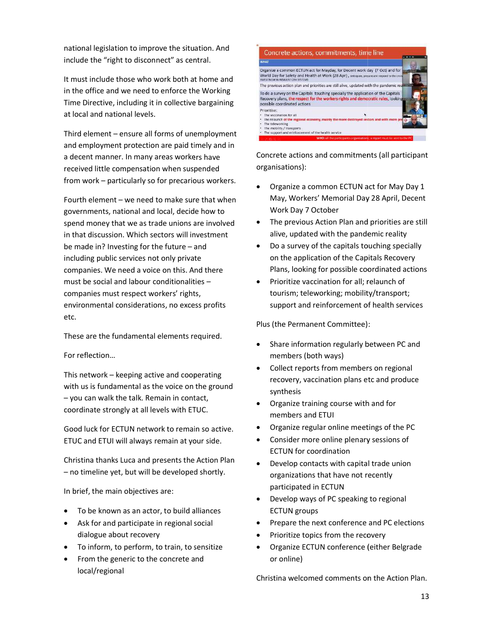national legislation to improve the situation. And **The concrete** include the "right to disconnect" as central. include the "right to disconnect" as central.

It must include those who work both at home and It must include those who work both at home and in the office and we need to enforce the Working **the orangle of the Standal** To do a survey on Time Directive, including it in collective bargai Time Directive, including it in collective bargaining at local and national levels.

Third element – ensure all forms of unemployment and relationship or an interesting and employment protection are paid timely and in and employment protection are paid timely and in a decent manner. In many areas workers have a decent manner. In many areas workers have received little compensation when suspended received little compensation when suspended from work – particularly so for precarious workers.

Fourth element – we need to make sure that when May, W governments, national and local, decide how to governments, national and local, decide how to spend money that we as trade unions are involved spend money that we as trade unions are involved in that discussion. Which sectors will investment in that discussion. Which sectors will investment be made in? Investing for the future  $-$  and  $\bullet$ including public services not only private companies. We need a voice on this. And there companies. We need a voice on this. And there must be social and labour conditionalities must be social and labour conditionalities – companies must respect workers' rights, companies must respect workers' rights, environmental considerations, no excess profits environmental considerations, no excess profits etc.

These are the fundamental elements required.

For reflection…

This network – keeping active and cooperating with us is fundamental as the voice on the ground - you can walk the talk. Remain in contact, https:// coordinate strongly at all levels with ETUC. coordinate strongly at all levels with ETUC.

Good luck for ECTUN network to remain so Good luck for ECTUN network to remain so active. ETUC and ETUI will always remain at your side. ETUC and ETUI will always remain at your side.

Christina thanks Luca and presents the Action Plan **Christina thanks Luca and presents the Action Plan** Christina thanks Luca and presents the Action Plan

In brief, the main objectives are:

- To be known as an actor, to build alliances
- Ask for and participate in regional social F dialogue about recovery
- To inform, to perform, to train, to sensitize Organize ECTUN confere
- From the generic to the concrete and From the generic to the concrete and local/regional



Concrete actions and commitments (all participant Concrete actions and commitments (all participant organisations):

- Organize a common ECTUN act for May Day 1 May, Workers' Memorial Day 28 April, Decent Work Day 7 October
- The previous Action Plan and priorities are still The previous Action Plan and priorities are still alive, updated with the pandemic reality alive, updated with the pandemic reality
- Do a survey of the capitals touching specially Do a survey of the capitals touching specially on the application of the Capitals Recovery on the application of the Capitals Recovery Plans, looking for possible coordinated actions looking for possible coordinated actions
- Prioritize vaccination for all; relaunch of tourism; teleworking; mobility/transport; tourism; teleworking; mobility/transport; support and reinforcement of health services support and reinforcement of health services

Plus (the Permanent Committee): Plus (the Permanent Committee):

- Share information regularly between PC and Share information regularly between PC and members (both ways)
- Collect reports from members on regional Collect reports from members on regional recovery, vaccination plans etc and produce recovery, vaccination plans etc and produce synthesis
- Organize training course with and for members and ETUI
- Organize regular online meetings of the PC
- Consider more online plenary sessions of Consider more online plenary sessions of ECTUN for coordination
- Develop contacts with capital trade union Develop contacts with capital trade union organizations that have not recently that have not recently participated in ECTUN
- Develop ways of PC speaking to regional Develop ways of PC speaking to regional ECTUN groups
- Prepare the next conference and PC elections Prepare the next conference and PC elections
- Prioritize topics from the recovery
- Organize ECTUN conference (either Belgrade ECTUN conference (either Belgrade or online)

Christina welcomed comments on the Action Plan. Christina welcomed comments on the Action Plan.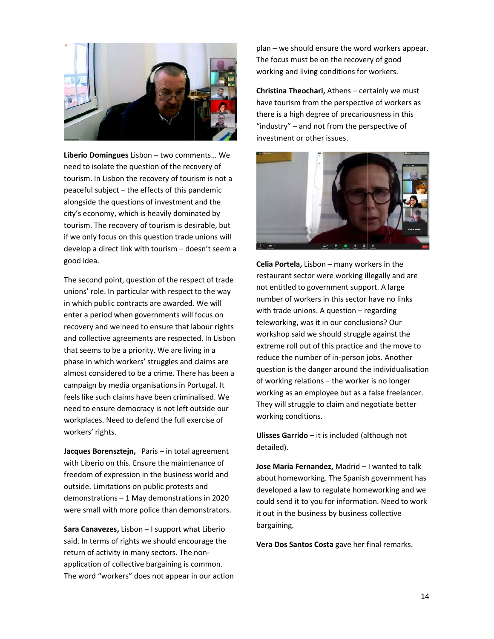

**Liberio Domingues** Lisbon – two comments… We the second service of the second service of the service of the service need to isolate the question of the recovery of need to isolate the question of the recovery of tourism. In Lisbon the recovery of tourism is not a **the contract of the set of the set of the set of the set of the set of the set of the set of the set of the set of the set of the set of the set of the set of the set of** peaceful subject – the effects of this pandemic alongside the questions of investment and the alongside the questions of investment and the city's economy, which is heavily dominated by city's economy, which is heavily dominated by tourism. The recovery of tourism is desirable, but tourism. The recovery of tourism is desirable, but if we only focus on this question trade unions will allowed the control of the strategy of develop a direct link with tourism – doesn't seem a state of the state of good idea.

The second point, question of the respect of trade **The second point**, question of the respect of trade unions' role. In particular with respect to the way unions' role. In particular with respect to the way in which public contracts are awarded. We will in which public contracts are awarded. We will enter a period when governments will focus on enter a period when governments will focus on recovery and we need to ensure that labour rights **the container** and collective agreements are respected. In Lisbon and collective agreements are respected. In Lisbon that seems to be a priority. We are living in a state that seems to be a priority. phase in which workers' struggles and claims are phase in which workers' struggles and claims are almost considered to be a crime. There has been a almost considered to be a crime. There has been a campaign by media organisations in Portugal. It feels like such claims have been criminalised. We feels like such claims have been criminalised. We need to ensure democracy is not left outside our need to ensure democracy is not left outside our workplaces. Need to defend the full exercise of workplaces. Need to defend the full exercise of workers' rights.

Jacques Borensztejn, Paris – in total agreement her detailed). with Liberio on this. Ensure the maintenance of **Lose Ma** freedom of expression in the business world and freedom of expression in the business world and outside. Limitations on public protests and develops and demonstrations – 1 May demonstrations in 2020 were small with more police than demonstrators. were small with more police than demonstrators.

Sara Canavezes, Lisbon – I support what Liberio **Sana Canavezes**, Lisbon – I support what Liberio said. In terms of rights we should encourage the said. In terms of rights we should encourage the return of activity in many sectors. The non return of activity in many sectors. The nonapplication of collective bargaining is common. application of collective bargaining is common. The word "workers" does not appear in our action The word "workers" does not appear in our action

plan – we should ensure the word we should ensure the word workers appear. The focus must be on the recovery of good working and living conditions for workers. working and living conditions for workers.

**Christina Theochari,** Athens – certainly we must have tourism from the perspective of workers have tourism from the perspective of workers as there is a high degree of precariousness in this "industry" – and not from the perspective of investment or other issues.



**Celia Portela,** Lisbon – many workers in the restaurant sector were working illegally and are restaurant sector were working illegally and are not entitled to government support. A large not entitled to government support. A large number of workers in this sector have no links number of workers in this sector have no links with trade unions. A question – regarding teleworking, was it in our conclusions? Our teleworking, was it in our conclusions? Our workshop said we should struggle against the workshop said we should struggle against the extreme roll out of this practice and the move to extreme roll out of this practice and the move to reduce the number of in-person jobs. Another person jobs. Another question is the danger around the individualisation question is the danger around the individualisation of working relations – the worker is no longer working as an employee but as a false freelancer. working as an employee but as a false freelancer. They will struggle to claim and negotiate better They will struggle to claim and negotiate better working conditions.

Ulisses Garrido – it is included (although not detailed).

Jose Maria Fernandez, Madrid – I wanted to talk about homeworking. The Spanish government has bout homeworking. The Spanish government has developed a law to regulate homeworking and we developed a law to regulate homeworking and we could send it to you for information. Need to work could send it to you for information. Need to work it out in the business by business collective it out in the business by business collective bargaining.

Vera Dos Santos Costa gave her final remarks.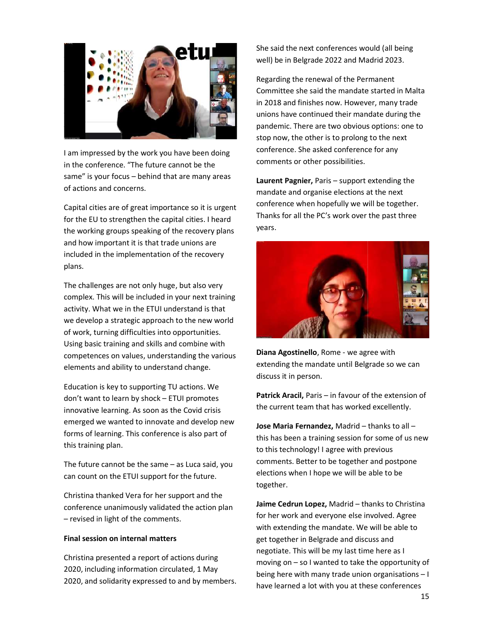

I am impressed by the work you have been doing connerend in the conference. "The future cannot be the state of the state of the state of the state of the state of the same" is your focus  $-$  behind that are many areas  $\mathbf{p}_i$ of actions and concerns.

Capital cities are of great importance so it is urgent Capital cities are of great importance so it is urgent for the EU to strengthen the capital cities. I heard **the CO** indities for the working groups speaking of the recovery plans by all sears. and how important it is that trade unions are and how important it is that trade unions are included in the implementation of the recovery **interpretental contracts** plans.

The challenges are not only huge, but also very **The Challenges** are not only huge. complex. This will be included in your next complex. This will be included in your next training activity. What we in the ETUI understand is that **the state of the state of the state of the state of the state** we develop a strategic approach to the new world we develop a strategic approach to the new world of work, turning difficulties into opportunities. of work, turning difficulties into opportunities. Using basic training and skills and combine with Using basic training and skills and combine with competences on values, understanding the various competences on values, understanding the various elements and ability to understand change. lements and ability to understand change.

Education is key to supporting TU actions. We Education is key to supporting TU actions. We don't want to learn by shock – ETUI promotes **Fatric**r innovative learning. As soon as the Covid crisis innovative learning. As soon as the Covid crisis emerged we wanted to innovate and develop new forms of learning. This conference is also part of **the search of the search of the search** that has known to the search of the search of the search of the search of the search of the search of the search of the search of this training plan.

The future cannot be the same – as Luca said, you soluments can count on the ETUI support for the future. can count on the ETUI support for the future.

Christina thanked Vera for her support and the Christina thanked Vera for her support and the conference unanimously validated the action plan **Jaime Cedrun Lopez,** Madrid – th – revised in light of the comments.

#### Final session on internal matters

Christina presented a report of actions during Christina presented a report of actions during 2020, including information circulated, 1 May 2020, including information circulated, 1 May 2020, and solidarity expressed to and by members. 2020, and solidarity expressed to and by members.

She said the next conferences would (all being She said the next conferences would (all being well) be in Belgrade 2022 and Madrid 2023.

Regarding the renewal of the Permanent Regarding the renewal of the Permanent Committee she said the mandate started in Malta Committee she said the mandate started in Malta in 2018 and finishes now. However, many trade in 2018 and finishes now. However, many trade unions have continued their mandate during the unions have continued their mandate during the pandemic. There are two obvious options: one to pandemic. There are two obvious options: one to stop now, the other is to prolong to the next conference. She asked conference for any conference. She asked conference for any comments or other possibilities.

Laurent Pagnier, Paris – support extending the mandate and organise elections at the next mandate and organise elections at the next conference when hopefully we will be together. conference when hopefully we will be together. Thanks for all the PC's work over the past three Thanks for all the PC's work over the past three years.



Diana Agostinello, Rome - we agree with extending the mandate until Belgrade extending the mandate until Belgrade so we can discuss it in person.

Patrick Aracil, Paris – in favour of the extension of the current team that has worked excellently. the current team that has worked excellently.

Jose Maria Fernandez, Madrid – thanks to all – this has been a training session for some of us new this has been a training session for some of us new to this technology! I agree with previous comments. Better to be together and postpone comments. Better to be together and postpone elections when I hope we will be able to be elections when I hope we will be able to be together.

Jaime Cedrun Lopez, Madrid – thanks to Christina for her work and everyone else involved. Agree for her work and everyone else involved. Agree with extending the mandate. We will be able with extending the mandate. We will be able to get together in Belgrade and discuss and get together in Belgrade and discuss and negotiate. This will be my last time here as I negotiate. This will be my last time here as I moving on – so I wanted to take the opportunity of being here with many trade union organisations being here with many trade union organisations – I have learned a lot with you at these conferences have learned a lot with you at these conferences